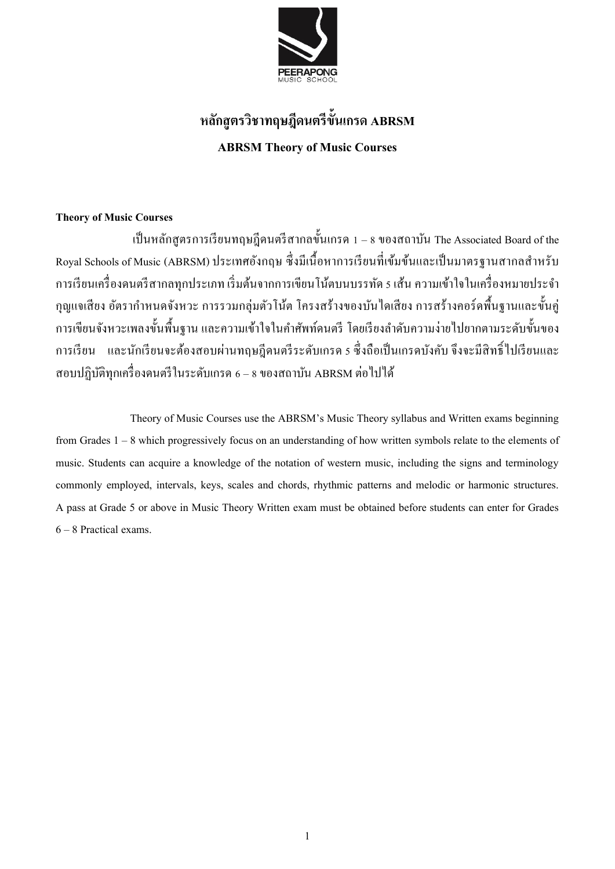

## **หลกัสูตรวิชาทฤษฎีดนตรีขั้นเกรด ABRSM ABRSM Theory of Music Courses**

### **Theory of Music Courses**

เป็นหลักสูตรการเรียนทฤษฎีคนตรีสากลขั้นเกรค 1 – 8 ของสถาบัน The Associated Board of the Royal Schools of Music (ABRSM) ประเทศอังกฤษ ซึ่งมีเนื้อหาการเรียนที่เข้มข้นและเป็นมาตรฐานสากลสำหรับ ึการเรียนเครื่องดนตรีสากลทุกประเภท เริ่มต้นจากการเขียนโน้ตบนบรรทัด 5 เส้น ความเข้าใจในเครื่องหมายประจำ กุญแจเสียง อตัรากา หนดจงัหวะ การรวมกลุ่มตวัโน้ต โครงสร้างของบันไดเสียง การสร้างคอร์ดพ้ืนฐานและข้นัคู่ ึ การเขียนจังหวะเพลงขั้นพื้นฐาน และความเข้าใจในคำศัพท์คนตรี โดยเรียงลำดับความง่ายไปยากตามระดับขั้นของ ึ การเรียน และนักเรียนจะต้องสอบผ่านทฤษฎีคนตรีระดับเกรค 5 ซึ่งถือเป็นเกรคบังคับ จึงจะมีสิทธิ์ไปเรียนและ สอบปฏิบัติทุกเครื่องดนตรีในระดับเกรด 6 – 8 ของสถาบัน ABRSM ต่อไปได้

Theory of Music Courses use the ABRSM's Music Theory syllabus and Written exams beginning from Grades 1 – 8 which progressively focus on an understanding of how written symbols relate to the elements of music. Students can acquire a knowledge of the notation of western music, including the signs and terminology commonly employed, intervals, keys, scales and chords, rhythmic patterns and melodic or harmonic structures. A pass at Grade 5 or above in Music Theory Written exam must be obtained before students can enter for Grades 6 – 8 Practical exams.